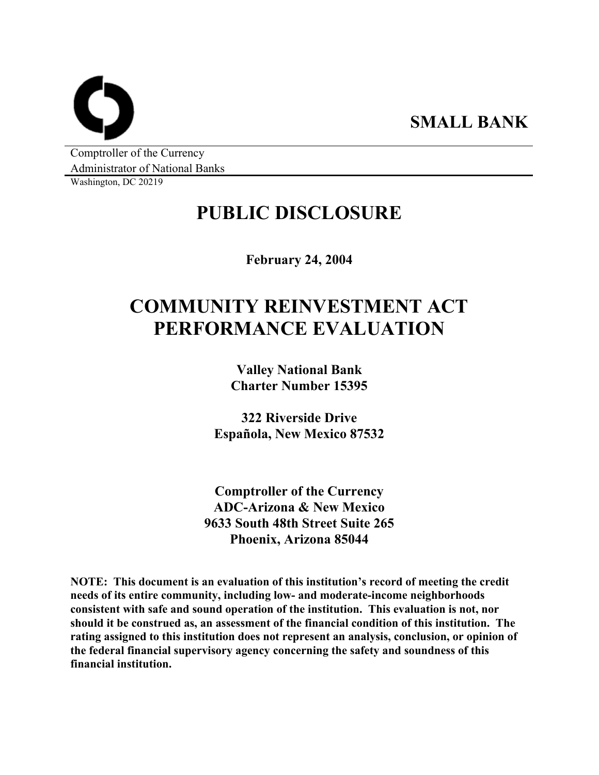**SMALL BANK** 

Comptroller of the Currency Administrator of National Banks

Washington, DC 20219

## **PUBLIC DISCLOSURE**

**February 24, 2004** 

# **COMMUNITY REINVESTMENT ACT PERFORMANCE EVALUATION**

**Valley National Bank Charter Number 15395** 

**322 Riverside Drive Española, New Mexico 87532** 

**Comptroller of the Currency ADC-Arizona & New Mexico 9633 South 48th Street Suite 265 Phoenix, Arizona 85044** 

**NOTE: This document is an evaluation of this institution's record of meeting the credit needs of its entire community, including low- and moderate-income neighborhoods consistent with safe and sound operation of the institution. This evaluation is not, nor should it be construed as, an assessment of the financial condition of this institution. The rating assigned to this institution does not represent an analysis, conclusion, or opinion of the federal financial supervisory agency concerning the safety and soundness of this financial institution.**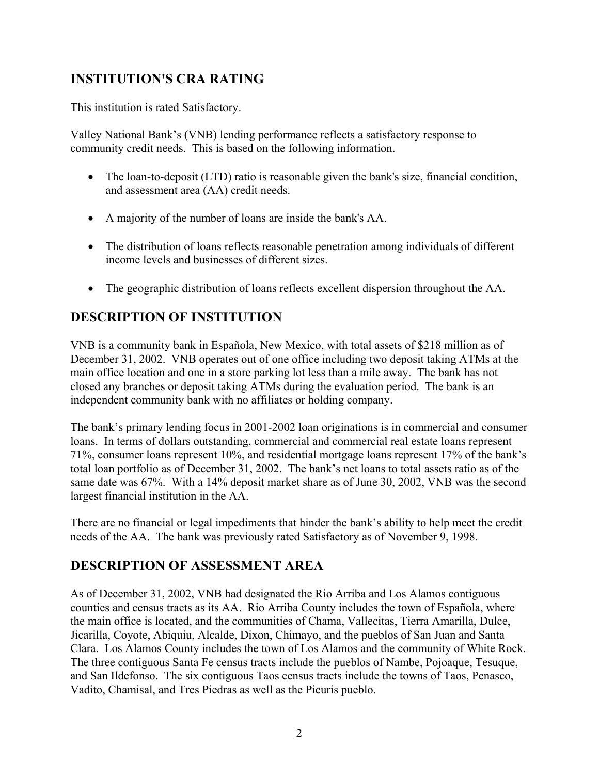## **INSTITUTION'S CRA RATING**

This institution is rated Satisfactory.

Valley National Bank's (VNB) lending performance reflects a satisfactory response to community credit needs. This is based on the following information.

- The loan-to-deposit (LTD) ratio is reasonable given the bank's size, financial condition, and assessment area (AA) credit needs.
- A majority of the number of loans are inside the bank's AA.
- The distribution of loans reflects reasonable penetration among individuals of different income levels and businesses of different sizes.
- The geographic distribution of loans reflects excellent dispersion throughout the AA.

## **DESCRIPTION OF INSTITUTION**

VNB is a community bank in Española, New Mexico, with total assets of \$218 million as of December 31, 2002. VNB operates out of one office including two deposit taking ATMs at the main office location and one in a store parking lot less than a mile away. The bank has not closed any branches or deposit taking ATMs during the evaluation period. The bank is an independent community bank with no affiliates or holding company.

The bank's primary lending focus in 2001-2002 loan originations is in commercial and consumer loans. In terms of dollars outstanding, commercial and commercial real estate loans represent 71%, consumer loans represent 10%, and residential mortgage loans represent 17% of the bank's total loan portfolio as of December 31, 2002. The bank's net loans to total assets ratio as of the same date was 67%. With a 14% deposit market share as of June 30, 2002, VNB was the second largest financial institution in the AA.

There are no financial or legal impediments that hinder the bank's ability to help meet the credit needs of the AA. The bank was previously rated Satisfactory as of November 9, 1998.

## **DESCRIPTION OF ASSESSMENT AREA**

As of December 31, 2002, VNB had designated the Rio Arriba and Los Alamos contiguous counties and census tracts as its AA. Rio Arriba County includes the town of Española, where the main office is located, and the communities of Chama, Vallecitas, Tierra Amarilla, Dulce, Jicarilla, Coyote, Abiquiu, Alcalde, Dixon, Chimayo, and the pueblos of San Juan and Santa Clara. Los Alamos County includes the town of Los Alamos and the community of White Rock. The three contiguous Santa Fe census tracts include the pueblos of Nambe, Pojoaque, Tesuque, and San Ildefonso. The six contiguous Taos census tracts include the towns of Taos, Penasco, Vadito, Chamisal, and Tres Piedras as well as the Picuris pueblo.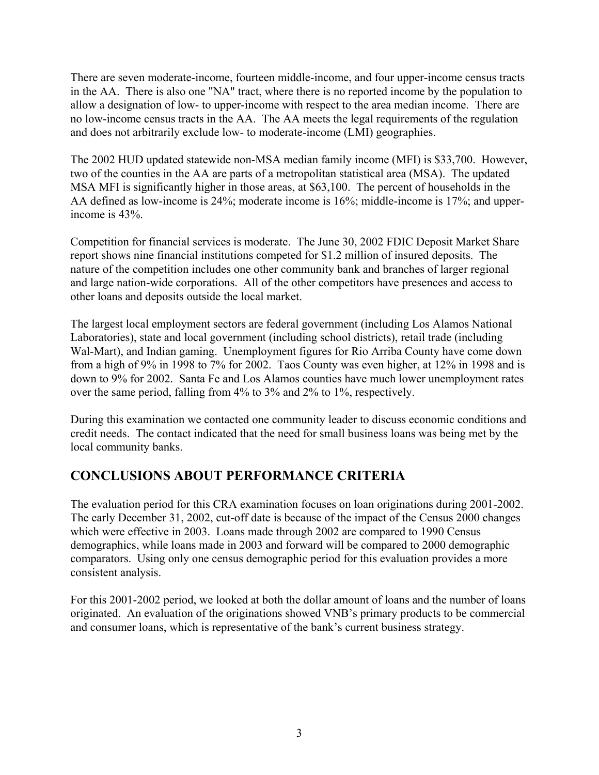There are seven moderate-income, fourteen middle-income, and four upper-income census tracts in the AA. There is also one "NA" tract, where there is no reported income by the population to allow a designation of low- to upper-income with respect to the area median income. There are no low-income census tracts in the AA. The AA meets the legal requirements of the regulation and does not arbitrarily exclude low- to moderate-income (LMI) geographies.

The 2002 HUD updated statewide non-MSA median family income (MFI) is \$33,700. However, two of the counties in the AA are parts of a metropolitan statistical area (MSA). The updated MSA MFI is significantly higher in those areas, at \$63,100. The percent of households in the AA defined as low-income is 24%; moderate income is 16%; middle-income is 17%; and upperincome is 43%.

Competition for financial services is moderate. The June 30, 2002 FDIC Deposit Market Share report shows nine financial institutions competed for \$1.2 million of insured deposits. The nature of the competition includes one other community bank and branches of larger regional and large nation-wide corporations. All of the other competitors have presences and access to other loans and deposits outside the local market.

The largest local employment sectors are federal government (including Los Alamos National Laboratories), state and local government (including school districts), retail trade (including Wal-Mart), and Indian gaming. Unemployment figures for Rio Arriba County have come down from a high of 9% in 1998 to 7% for 2002. Taos County was even higher, at 12% in 1998 and is down to 9% for 2002. Santa Fe and Los Alamos counties have much lower unemployment rates over the same period, falling from 4% to 3% and 2% to 1%, respectively.

During this examination we contacted one community leader to discuss economic conditions and credit needs. The contact indicated that the need for small business loans was being met by the local community banks.

## **CONCLUSIONS ABOUT PERFORMANCE CRITERIA**

The evaluation period for this CRA examination focuses on loan originations during 2001-2002. The early December 31, 2002, cut-off date is because of the impact of the Census 2000 changes which were effective in 2003. Loans made through 2002 are compared to 1990 Census demographics, while loans made in 2003 and forward will be compared to 2000 demographic comparators. Using only one census demographic period for this evaluation provides a more consistent analysis.

For this 2001-2002 period, we looked at both the dollar amount of loans and the number of loans originated. An evaluation of the originations showed VNB's primary products to be commercial and consumer loans, which is representative of the bank's current business strategy.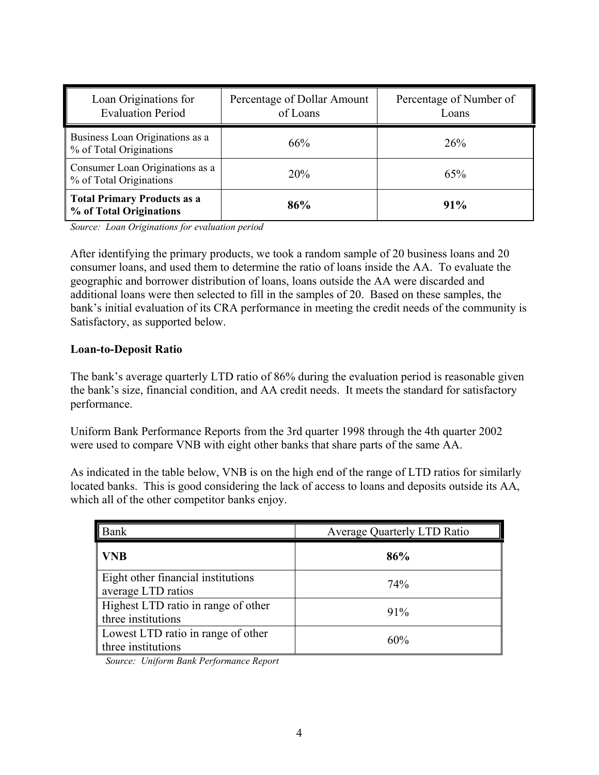| Loan Originations for<br><b>Evaluation Period</b>             | Percentage of Dollar Amount<br>of Loans | Percentage of Number of<br>Loans |  |
|---------------------------------------------------------------|-----------------------------------------|----------------------------------|--|
| Business Loan Originations as a<br>% of Total Originations    | 66%                                     | <b>26%</b>                       |  |
| Consumer Loan Originations as a<br>% of Total Originations    | 20%                                     | 65%                              |  |
| <b>Total Primary Products as a</b><br>% of Total Originations | 86%                                     | 91%                              |  |

*Source: Loan Originations for evaluation period*

After identifying the primary products, we took a random sample of 20 business loans and 20 consumer loans, and used them to determine the ratio of loans inside the AA. To evaluate the geographic and borrower distribution of loans, loans outside the AA were discarded and additional loans were then selected to fill in the samples of 20. Based on these samples, the bank's initial evaluation of its CRA performance in meeting the credit needs of the community is Satisfactory, as supported below.

#### **Loan-to-Deposit Ratio**

The bank's average quarterly LTD ratio of 86% during the evaluation period is reasonable given the bank's size, financial condition, and AA credit needs. It meets the standard for satisfactory performance.

Uniform Bank Performance Reports from the 3rd quarter 1998 through the 4th quarter 2002 were used to compare VNB with eight other banks that share parts of the same AA.

As indicated in the table below, VNB is on the high end of the range of LTD ratios for similarly located banks. This is good considering the lack of access to loans and deposits outside its AA, which all of the other competitor banks enjoy.

| Bank                                                      | <b>Average Quarterly LTD Ratio</b> |
|-----------------------------------------------------------|------------------------------------|
| <b>VNB</b>                                                | 86%                                |
| Eight other financial institutions<br>average LTD ratios  | 74%                                |
| Highest LTD ratio in range of other<br>three institutions | 91%                                |
| Lowest LTD ratio in range of other<br>three institutions  | 60%                                |

*Source: Uniform Bank Performance Report*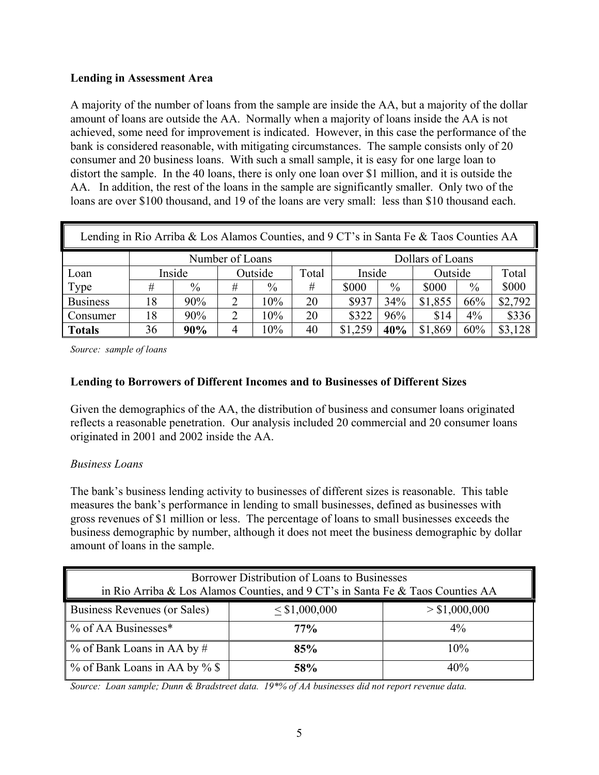#### **Lending in Assessment Area**

A majority of the number of loans from the sample are inside the AA, but a majority of the dollar amount of loans are outside the AA. Normally when a majority of loans inside the AA is not achieved, some need for improvement is indicated. However, in this case the performance of the bank is considered reasonable, with mitigating circumstances. The sample consists only of 20 consumer and 20 business loans. With such a small sample, it is easy for one large loan to distort the sample. In the 40 loans, there is only one loan over \$1 million, and it is outside the AA. In addition, the rest of the loans in the sample are significantly smaller. Only two of the loans are over \$100 thousand, and 19 of the loans are very small: less than \$10 thousand each.

| Lending in Rio Arriba & Los Alamos Counties, and 9 CT's in Santa Fe & Taos Counties AA |    |        |   |               |       |         |      |         |               |         |  |
|----------------------------------------------------------------------------------------|----|--------|---|---------------|-------|---------|------|---------|---------------|---------|--|
| Number of Loans<br>Dollars of Loans                                                    |    |        |   |               |       |         |      |         |               |         |  |
| Loan                                                                                   |    | Inside |   | Outside       | Total | Inside  |      | Outside |               | Total   |  |
| Type                                                                                   | #  | $\%$   | # | $\frac{0}{0}$ | #     | \$000   | $\%$ | \$000   | $\frac{0}{0}$ | \$000   |  |
| <b>Business</b>                                                                        | 18 | 90%    | 2 | 10%           | 20    | \$937   | 34%  | \$1,855 | 66%           | \$2,792 |  |
| <b>Consumer</b>                                                                        | 18 | 90%    | 7 | 10%           | 20    | \$322   | 96%  | \$14    | $4\%$         | \$336   |  |
| Totals                                                                                 | 36 | 90%    |   | 10%           | 40    | \$1,259 | 40%  | \$1,869 | 60%           | \$3,128 |  |

*Source: sample of loans* 

#### **Lending to Borrowers of Different Incomes and to Businesses of Different Sizes**

Given the demographics of the AA, the distribution of business and consumer loans originated reflects a reasonable penetration. Our analysis included 20 commercial and 20 consumer loans originated in 2001 and 2002 inside the AA.

#### *Business Loans*

The bank's business lending activity to businesses of different sizes is reasonable. This table measures the bank's performance in lending to small businesses, defined as businesses with gross revenues of \$1 million or less. The percentage of loans to small businesses exceeds the business demographic by number, although it does not meet the business demographic by dollar amount of loans in the sample.

| Borrower Distribution of Loans to Businesses<br>in Rio Arriba & Los Alamos Counties, and 9 CT's in Santa Fe & Taos Counties AA |        |       |  |  |  |  |  |
|--------------------------------------------------------------------------------------------------------------------------------|--------|-------|--|--|--|--|--|
| <b>Business Revenues (or Sales)</b><br>$<$ \$1,000,000<br>> \$1,000,000                                                        |        |       |  |  |  |  |  |
| <u></u> % of AA Businesses <sup>*</sup>                                                                                        | $77\%$ | $4\%$ |  |  |  |  |  |
| % of Bank Loans in AA by #                                                                                                     | 85%    | 10%   |  |  |  |  |  |
| <u></u> % of Bank Loans in AA by % \$                                                                                          | 58%    | 40%   |  |  |  |  |  |

*Source: Loan sample; Dunn & Bradstreet data. 19\*% of AA businesses did not report revenue data.*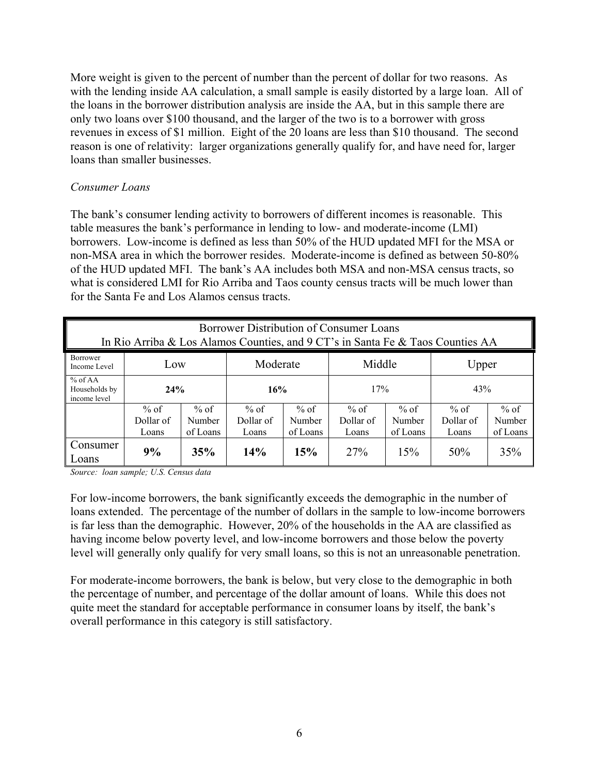More weight is given to the percent of number than the percent of dollar for two reasons. As with the lending inside AA calculation, a small sample is easily distorted by a large loan. All of the loans in the borrower distribution analysis are inside the AA, but in this sample there are only two loans over \$100 thousand, and the larger of the two is to a borrower with gross revenues in excess of \$1 million. Eight of the 20 loans are less than \$10 thousand. The second reason is one of relativity: larger organizations generally qualify for, and have need for, larger loans than smaller businesses.

#### *Consumer Loans*

The bank's consumer lending activity to borrowers of different incomes is reasonable. This table measures the bank's performance in lending to low- and moderate-income (LMI) borrowers. Low-income is defined as less than 50% of the HUD updated MFI for the MSA or non-MSA area in which the borrower resides. Moderate-income is defined as between 50-80% of the HUD updated MFI. The bank's AA includes both MSA and non-MSA census tracts, so what is considered LMI for Rio Arriba and Taos county census tracts will be much lower than for the Santa Fe and Los Alamos census tracts.

| Borrower Distribution of Consumer Loans<br>In Rio Arriba & Los Alamos Counties, and 9 CT's in Santa Fe & Taos Counties AA |                              |                              |                              |                              |                              |                              |                              |                              |  |  |  |
|---------------------------------------------------------------------------------------------------------------------------|------------------------------|------------------------------|------------------------------|------------------------------|------------------------------|------------------------------|------------------------------|------------------------------|--|--|--|
| Borrower<br>Middle<br>Moderate<br>Upper<br>Low<br>Income Level                                                            |                              |                              |                              |                              |                              |                              |                              |                              |  |  |  |
| % of AA<br>Households by<br>income level                                                                                  | 24%                          |                              | 16%                          |                              | 17%                          |                              | 43%                          |                              |  |  |  |
|                                                                                                                           | $%$ of<br>Dollar of<br>Loans | $%$ of<br>Number<br>of Loans | $%$ of<br>Dollar of<br>Loans | $%$ of<br>Number<br>of Loans | $%$ of<br>Dollar of<br>Loans | $%$ of<br>Number<br>of Loans | $%$ of<br>Dollar of<br>Loans | $%$ of<br>Number<br>of Loans |  |  |  |
| Consumer<br>Loans                                                                                                         | 9%                           | 35%                          | 14%                          | 15%                          | 27%                          | 15%                          | 50%                          | 35%                          |  |  |  |

*Source: loan sample; U.S. Census data*

For low-income borrowers, the bank significantly exceeds the demographic in the number of loans extended. The percentage of the number of dollars in the sample to low-income borrowers is far less than the demographic. However, 20% of the households in the AA are classified as having income below poverty level, and low-income borrowers and those below the poverty level will generally only qualify for very small loans, so this is not an unreasonable penetration.

For moderate-income borrowers, the bank is below, but very close to the demographic in both the percentage of number, and percentage of the dollar amount of loans. While this does not quite meet the standard for acceptable performance in consumer loans by itself, the bank's overall performance in this category is still satisfactory.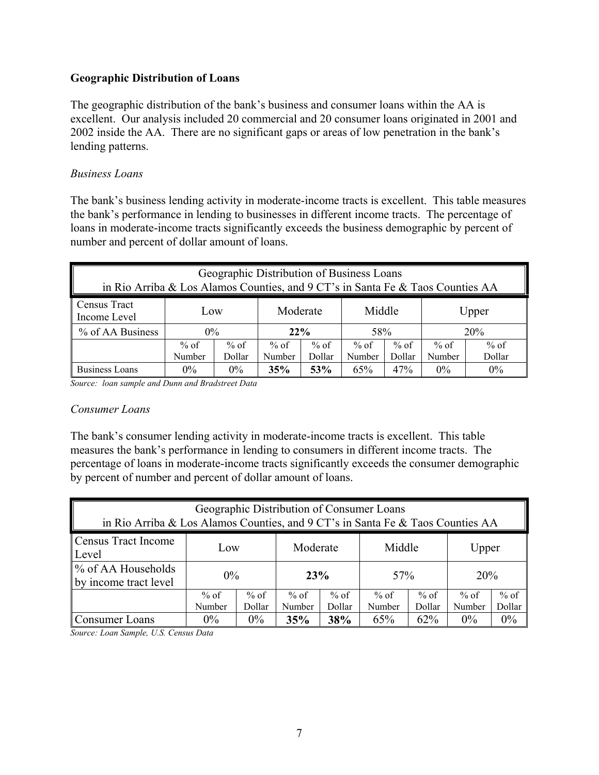#### **Geographic Distribution of Loans**

The geographic distribution of the bank's business and consumer loans within the AA is excellent. Our analysis included 20 commercial and 20 consumer loans originated in 2001 and 2002 inside the AA. There are no significant gaps or areas of low penetration in the bank's lending patterns.

#### *Business Loans*

The bank's business lending activity in moderate-income tracts is excellent. This table measures the bank's performance in lending to businesses in different income tracts. The percentage of loans in moderate-income tracts significantly exceeds the business demographic by percent of number and percent of dollar amount of loans.

| Geographic Distribution of Business Loans<br>in Rio Arriba & Los Alamos Counties, and 9 CT's in Santa Fe & Taos Counties AA |                  |                  |                  |                  |                  |                  |                |                  |  |
|-----------------------------------------------------------------------------------------------------------------------------|------------------|------------------|------------------|------------------|------------------|------------------|----------------|------------------|--|
| <b>Census Tract</b><br>Middle<br>Moderate<br>Upper<br>Low<br>Income Level                                                   |                  |                  |                  |                  |                  |                  |                |                  |  |
| % of AA Business                                                                                                            | $0\%$            |                  | 22%              |                  | 58%              |                  | 20%            |                  |  |
|                                                                                                                             | $%$ of<br>Number | $%$ of<br>Dollar | $%$ of<br>Number | $%$ of<br>Dollar | $%$ of<br>Number | $%$ of<br>Dollar | % of<br>Number | $%$ of<br>Dollar |  |
| <b>Business Loans</b><br>0%<br>$0\%$<br>$0\%$<br>35%<br>53%<br>65%<br>47%<br>$0\%$                                          |                  |                  |                  |                  |                  |                  |                |                  |  |

*Source: loan sample and Dunn and Bradstreet Data* 

#### *Consumer Loans*

The bank's consumer lending activity in moderate-income tracts is excellent. This table measures the bank's performance in lending to consumers in different income tracts. The percentage of loans in moderate-income tracts significantly exceeds the consumer demographic by percent of number and percent of dollar amount of loans.

| Geographic Distribution of Consumer Loans<br>in Rio Arriba & Los Alamos Counties, and 9 CT's in Santa Fe & Taos Counties AA |                                      |       |                  |                  |                  |                  |                  |                  |  |  |
|-----------------------------------------------------------------------------------------------------------------------------|--------------------------------------|-------|------------------|------------------|------------------|------------------|------------------|------------------|--|--|
| Census Tract Income<br>Middle<br>Moderate<br>Upper<br>Low<br>Level                                                          |                                      |       |                  |                  |                  |                  |                  |                  |  |  |
| $\%$ of AA Households<br>by income tract level                                                                              | $0\%$                                |       | 23%              |                  | 57%              |                  | 20%              |                  |  |  |
|                                                                                                                             | $%$ of<br>$%$ of<br>Dollar<br>Number |       | $%$ of<br>Number | $%$ of<br>Dollar | $%$ of<br>Number | $%$ of<br>Dollar | $%$ of<br>Number | $%$ of<br>Dollar |  |  |
| Consumer Loans                                                                                                              | $0\%$                                | $0\%$ | 35%              | 38%              | 65%              | 62%              | $0\%$            | $0\%$            |  |  |

*Source: Loan Sample, U.S. Census Data*